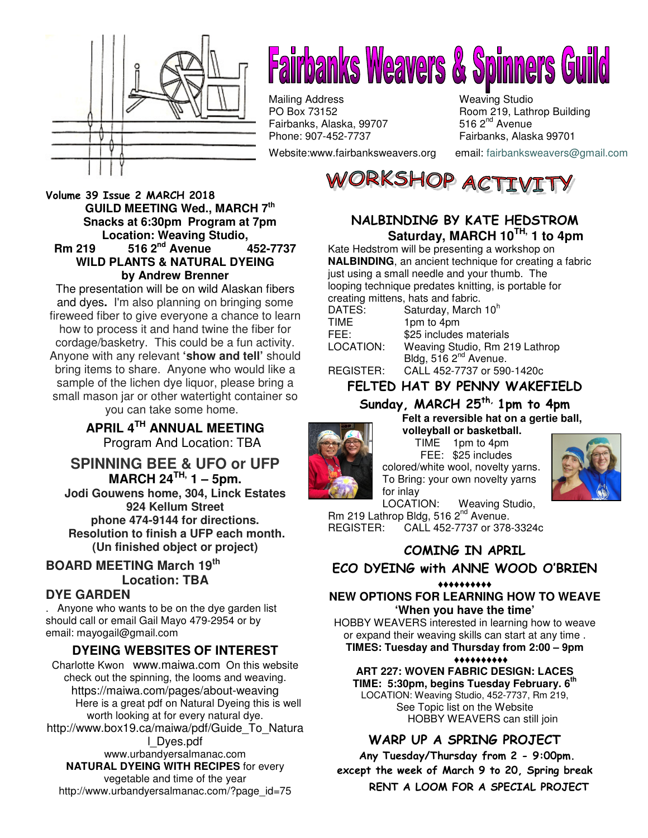

# **Fairbanks Weavers & Spinners Guild**

Mailing Address Weaving Studio<br>
PO Box 73152 Boom 219, Lath Fairbanks, Alaska, 99707<br>Phone: 907-452-7737

Website:www.fairbanksweavers.org email: fairbanksweavers@gmail.com

Room 219, Lathrop Building<br>516  $2<sup>nd</sup>$  Avenue Fairbanks, Alaska 99701

ORKSHOP ACTI

#### Volume 39 Issue 2 MARCH 2018  **GUILD MEETING Wed., MARCH 7th Snacks at 6:30pm Program at 7pm Location: Weaving Studio, Rm 219 516 2nd Avenue 452-7737**

#### **WILD PLANTS & NATURAL DYEING by Andrew Brenner**

The presentation will be on wild Alaskan fibers and dyes**.** I'm also planning on bringing some fireweed fiber to give everyone a chance to learn how to process it and hand twine the fiber for cordage/basketry. This could be a fun activity. Anyone with any relevant **'show and tell'** should bring items to share. Anyone who would like a sample of the lichen dye liquor, please bring a small mason jar or other watertight container so you can take some home.

> **APRIL 4TH ANNUAL MEETING** Program And Location: TBA

**SPINNING BEE & UFO or UFP MARCH 24TH, 1 – 5pm. Jodi Gouwens home, 304, Linck Estates 924 Kellum Street phone 474-9144 for directions. Resolution to finish a UFP each month. (Un finished object or project)**

#### **BOARD MEETING March 19th Location: TBA**

#### **DYE GARDEN**

. Anyone who wants to be on the dye garden list should call or email Gail Mayo 479-2954 or by email: mayogail@gmail.com

#### **DYEING WEBSITES OF INTEREST**

Charlotte Kwon www.maiwa.com On this website check out the spinning, the looms and weaving. https://maiwa.com/pages/about-weaving Here is a great pdf on Natural Dyeing this is well worth looking at for every natural dye. http://www.box19.ca/maiwa/pdf/Guide\_To\_Natura l\_Dyes.pdf www.urbandyersalmanac.com **NATURAL DYEING WITH RECIPES** for every vegetable and time of the year

http://www.urbandyersalmanac.com/?page\_id=75

#### NALBINDING BY KATE HEDSTROM  **Saturday, MARCH 10TH, 1 to 4pm**

Kate Hedstrom will be presenting a workshop on **NALBINDING**, an ancient technique for creating a fabric just using a small needle and your thumb. The looping technique predates knitting, is portable for creating mittens, hats and fabric.

| DATES:    | Saturday, March 10 <sup>h</sup>   |
|-----------|-----------------------------------|
| TIME      | 1pm to 4pm                        |
| FEE:      | \$25 includes materials           |
| LOCATION: | Weaving Studio, Rm 219 Lathrop    |
|           | Bldg, 516 2 <sup>nd</sup> Avenue. |
| REGISTER: | CALL 452-7737 or 590-1420c        |

FELTED HAT BY PENNY WAKEFIELD

## Sunday, MARCH 25<sup>th,</sup> 1pm to 4pm

**Felt a reversible hat on a gertie ball,** 



**volleyball or basketball.** TIME 1pm to 4pm FEE: \$25 includes colored/white wool, novelty yarns. To Bring: your own novelty yarns for inlay



LOCATION: Weaving Studio, Rm 219 Lathrop Bldg, 516 2<sup>nd</sup> Avenue. REGISTER: CALL 452-7737 or 378-3324c

# COMING IN APRIL

#### ECO DYEING with ANNE WOOD O'BRIEN

#### ♦♦♦♦♦♦♦♦♦♦ **NEW OPTIONS FOR LEARNING HOW TO WEAVE 'When you have the time'**

HOBBY WEAVERS interested in learning how to weave or expand their weaving skills can start at any time . **TIMES: Tuesday and Thursday from 2:00 – 9pm**

#### ♦♦♦♦♦♦♦♦♦♦ **ART 227: WOVEN FABRIC DESIGN: LACES TIME: 5:30pm, begins Tuesday February. 6th** LOCATION: Weaving Studio, 452-7737, Rm 219, See Topic list on the Website HOBBY WEAVERS can still join

#### WARP UP A SPRING PROJECT

 Any Tuesday/Thursday from 2 - 9:00pm. except the week of March 9 to 20, Spring break RENT A LOOM FOR A SPECIAL PROJECT